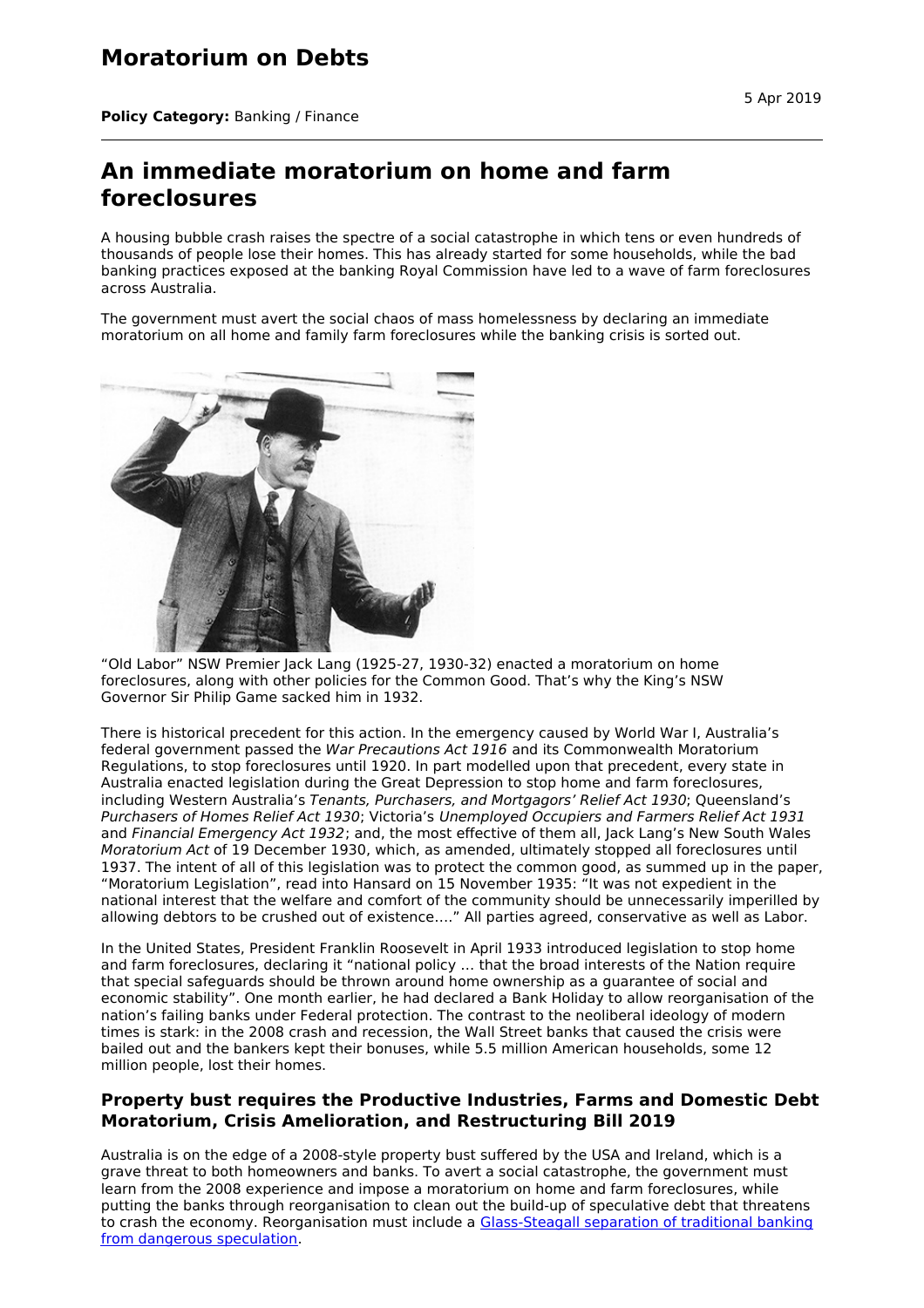## **Moratorium on Debts**

**Policy Category:** Banking / Finance

## **An immediate moratorium on home and farm foreclosures**

A housing bubble crash raises the spectre of a social catastrophe in which tens or even hundreds of thousands of people lose their homes. This has already started for some households, while the bad banking practices exposed at the banking Royal Commission have led to a wave of farm foreclosures across Australia.

The government must avert the social chaos of mass homelessness by declaring an immediate moratorium on all home and family farm foreclosures while the banking crisis is sorted out.



"Old Labor" NSW Premier Jack Lang (1925-27, 1930-32) enacted a moratorium on home foreclosures, along with other policies for the Common Good. That's why the King's NSW Governor Sir Philip Game sacked him in 1932.

There is historical precedent for this action. In the emergency caused by World War I, Australia's federal government passed the War Precautions Act 1916 and its Commonwealth Moratorium Regulations, to stop foreclosures until 1920. In part modelled upon that precedent, every state in Australia enacted legislation during the Great Depression to stop home and farm foreclosures, including Western Australia's Tenants, Purchasers, and Mortgagors' Relief Act 1930; Queensland's Purchasers of Homes Relief Act 1930; Victoria's Unemployed Occupiers and Farmers Relief Act 1931 and Financial Emergency Act 1932; and, the most effective of them all, Jack Lang's New South Wales Moratorium Act of 19 December 1930, which, as amended, ultimately stopped all foreclosures until 1937. The intent of all of this legislation was to protect the common good, as summed up in the paper, "Moratorium Legislation", read into Hansard on 15 November 1935: "It was not expedient in the national interest that the welfare and comfort of the community should be unnecessarily imperilled by allowing debtors to be crushed out of existence…." All parties agreed, conservative as well as Labor.

In the United States, President Franklin Roosevelt in April 1933 introduced legislation to stop home and farm foreclosures, declaring it "national policy … that the broad interests of the Nation require that special safeguards should be thrown around home ownership as a guarantee of social and economic stability". One month earlier, he had declared a Bank Holiday to allow reorganisation of the nation's failing banks under Federal protection. The contrast to the neoliberal ideology of modern times is stark: in the 2008 crash and recession, the Wall Street banks that caused the crisis were bailed out and the bankers kept their bonuses, while 5.5 million American households, some 12 million people, lost their homes.

## **Property bust requires the Productive Industries, Farms and Domestic Debt Moratorium, Crisis Amelioration, and Restructuring Bill 2019**

Australia is on the edge of a 2008-style property bust suffered by the USA and Ireland, which is a grave threat to both homeowners and banks. To avert a social catastrophe, the government must learn from the 2008 experience and impose a moratorium on home and farm foreclosures, while putting the banks through reorganisation to clean out the build-up of speculative debt that threatens to crash the economy. [Reorganisation](http://citizensparty.org.au/policies/banking-finance/break-up-the-banks) must include a Glass-Steagall separation of traditional banking from dangerous speculation.